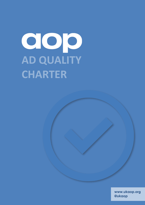# **AD QUALITY CHARTER**

**www.ukaop.org @ukaop**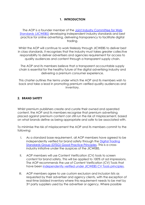# **1. INTRODUCTION**

The AOP is a founder member of the Joint Industry Committee for Web [Standards \(JICWEBS\)](https://jicwebs.org/) developing independent industry standards and best practice for online advertising, delivering transparency to facilitate digital trading.

Whilst the AOP will continue to work tirelessly through JICWEBS to deliver best in class standards, it recognises that the industry must takes greater collective responsibility to deliver advertisers and agencies requirement for access to quality audiences and content through a transparent supply chain.

The AOP and its members believe that a transparent accountable supply chain is essential for the healthy future of the digital advertising industry and delivering a premium consumer experience.

This charter outlines the terms under which the AOP and its members wish to back and take a lead in promoting premium verified quality audiences and inventory.

#### **2. BRAND SAFETY**

Whilst premium publishers create and curate their owned and operated content, the AOP and its members recognise that premium advertising placed against premium content can still run the risk of misplacement, based on what brands define as being appropriate and safe to be associated with.

To minimise the risk of misplacement the AOP and its members commit to the following:

- I. As a standard base requirement, all AOP members have agreed to be independently verified for brand safety through the [Digital Trading](https://www.jicwebs.org/digital-trading-standards-group-good-practice-principles/good-practice-principles)  [Standards Group \(DTSG\) Good Practice Principles.](https://www.jicwebs.org/digital-trading-standards-group-good-practice-principles/good-practice-principles) This is a crossindustry initiative under the auspices of the JICWEBS.
- II. AOP members will use Content Verification (CV) tools to screen content for brand safety. This will be applied to *100%* of ad impressions. The AOP recommends the use of Content Verification (CV) Tools that have been [independently verified under JICWEBS CV Tools principles.](http://www.jicwebs.org/agreed-principles/content-verification-cv-product-principles)
- III. AOP members agree to use custom exclusion and inclusion lists as requested by their advertiser and agency clients, with the exception of real-time bidded inventory where this requirement needs to be met by 3<sup>rd</sup> party suppliers used by the advertiser or agency. Where possible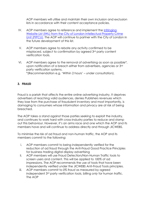AOP members will utilise and maintain their own inclusion and exclusion lists in accordance with their content acceptance policies.

- IV. AOP members agree to reference and implement the *Infringing* [Website List \(IWL\) from the City of London Intellectual Property Crime](https://www.cityoflondon.police.uk/advice-and-support/fraud-and-economic-crime/pipcu/Pages/Operation-creative.aspx)  [Unit \(PIPCU\).](https://www.cityoflondon.police.uk/advice-and-support/fraud-and-economic-crime/pipcu/Pages/Operation-creative.aspx) The AOP will continue to partner with the City of London in the future development of this list.
- V. AOP members agree to rebate any activity confirmed to be misplaced, subject to confirmation by agreed 3rd party content verification tools.
- VI. AOP members agree to the removal of advertising as soon as possible\*, upon notification of a breach either from advertisers, agencies or 3rd party verification systems.

\*(Recommendation e.g. 'Within 2 hours' – under consultation).

## **3. FRAUD**

Fraud is a pariah that affects the entire online advertising industry. It deprives advertisers of reaching valid audiences, denies Publishers revenues which they lose from the purchase of fraudulent inventory and most importantly, is damaging to consumers whose information and privacy are at risk of being breached.

The AOP takes a stand against those parties seeking to exploit the industry, and continues to work hard with cross-industry parties to reduce and stamp out this behaviour. However, it's an arms race and one which the AOP and its members have and will continue to address directly and through JICWEBS.

To minimise the risk of ad fraud and non-human traffic, the AOP and its members commit to the following:

- i. AOP members commit to being independently verified for the reduction of ad fraud through the Anti-Fraud Good Practice Principles for business trading digital display advertising
- ii. AOP members will use Fraud Detection/Non-Human Traffic tools to screen users and content. This will be applied to *100%* of ad impressions. The AOP recommends the use of tools that have been independently verified under the JICWEBS Anti-Fraud Tools principles.
- iii. AOP members commit to *0% fraud* as measured by agreed independent 3rd party verification tools, billing *only* for human traffic. The AOP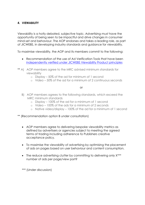## **4. VIEWABILITY**

Viewability is a hotly debated, subjective topic. Advertising *must* have the opportunity of being seen to be impactful and drive changes in consumer mind-set and behaviour. The AOP endorses and takes a leading role, as part of JICWEBS, in developing industry standards and guidance for viewability.

To maximise viewability, the AOP and its members commit to the following:

- Recommendation of the use of Ad Verification Tools that have been [independently verified under JICWEBS Viewability Product principles](http://www.jicwebs.org/viewability-product-principles/principles)
- \*\* A) AOP members agree to the MRC advised minimum standards for viewability
	- o Display 50% of the ad for minimum of 1 second
	- o Video 50% of the ad for a minimum of 2 continuous seconds

or

- B) AOP members agrees to the following standards, which exceed the MRC minimum standards
	- o Display 100% of the ad for a minimum of 1 second
	- o Video 100% of the ads for a minimum of 2 seconds
	- o Native video/display 100% of the ad for a minimum of 1 second
- \*\* (Recommendation option B under consultation)
	- AOP members agree to delivering bespoke viewability metrics as defined by advertisers or agencies subject to meeting the agreed terms of trading including adherence to Publishers creative acceptance policy.
	- To maximise the viewability of advertising by optimising the placement of ads on pages based on user behaviour and content consumption.
	- The reduce advertising clutter by committing to delivering only  $X^{***}$ number of ads per page/view port?

\*\*\* (Under discussion)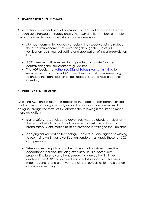## **5. TRANSPARENT SUPPLY CHAIN**

An essential component of quality verified content and audiences is a fully accountable transparent supply chain. The AOP and its members champion this and commit to taking the following active measures:

- Members commit to rigorously checking their supply chain to reduce the risk of misplacement of advertising through the use of ad verification tools, manual vetting and application of inclusion/exclusion lists.
- AOP members will sever relationships with any supplier/partner contravening their transparency guidelines.
- The AOP backs the [Authorised Digital Sellers \(Ads.txt\) initiative](https://iabtechlab.com/ads-txt/) to reduce the risk of ad fraud AOP members commit to implementing this to enable the identification of legitimate sellers and resellers of their inventory.

#### **6. INDUSTRY REQUIREMENTS**

Whilst the AOP and its members recognise the need for transparent verified quality inventory through 3rd party ad verification, and are committed to doing so through the terms of this charter, the following is required to meet these obligations.

- Brand Safety Agencies and advertisers must be absolutely clear on the terms of what content and placement constitutes a threat to brand safety. Confirmation must be provided in writing to the Publisher.
- Applying ad verification technology advertisers and agencies wishing to use their own 3rd party verification vendors must apply these to *100%* of impressions.
- Where advertising is found to be in breach of publishers' creative acceptance policies, including excessive file size, potentially propagating latency and hence reducing viewability, it will be declined. The AOP and its members offer full support to advertisers, media agencies and creative agencies on guidelines for the creation of online advertising.